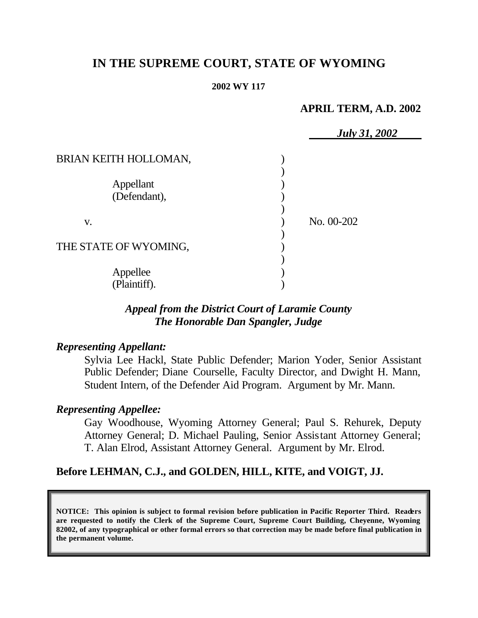# **IN THE SUPREME COURT, STATE OF WYOMING**

#### **2002 WY 117**

### **APRIL TERM, A.D. 2002**

|                           | <b>July 31, 2002</b> |
|---------------------------|----------------------|
| BRIAN KEITH HOLLOMAN,     |                      |
|                           |                      |
| Appellant<br>(Defendant), |                      |
| V.                        | No. 00-202           |
|                           |                      |
| THE STATE OF WYOMING,     |                      |
| Appellee                  |                      |
| (Plaintiff).              |                      |

# *Appeal from the District Court of Laramie County The Honorable Dan Spangler, Judge*

### *Representing Appellant:*

Sylvia Lee Hackl, State Public Defender; Marion Yoder, Senior Assistant Public Defender; Diane Courselle, Faculty Director, and Dwight H. Mann, Student Intern, of the Defender Aid Program. Argument by Mr. Mann.

## *Representing Appellee:*

Gay Woodhouse, Wyoming Attorney General; Paul S. Rehurek, Deputy Attorney General; D. Michael Pauling, Senior Assistant Attorney General; T. Alan Elrod, Assistant Attorney General. Argument by Mr. Elrod.

# **Before LEHMAN, C.J., and GOLDEN, HILL, KITE, and VOIGT, JJ.**

**NOTICE: This opinion is subject to formal revision before publication in Pacific Reporter Third. Readers are requested to notify the Clerk of the Supreme Court, Supreme Court Building, Cheyenne, Wyoming 82002, of any typographical or other formal errors so that correction may be made before final publication in the permanent volume.**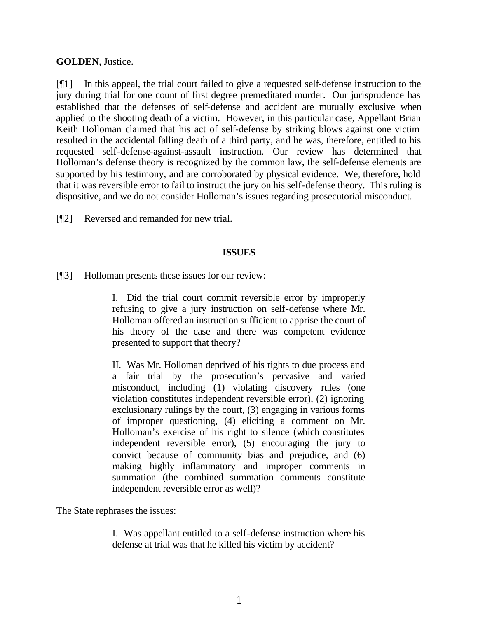### **GOLDEN**, Justice.

[¶1] In this appeal, the trial court failed to give a requested self-defense instruction to the jury during trial for one count of first degree premeditated murder. Our jurisprudence has established that the defenses of self-defense and accident are mutually exclusive when applied to the shooting death of a victim. However, in this particular case, Appellant Brian Keith Holloman claimed that his act of self-defense by striking blows against one victim resulted in the accidental falling death of a third party, and he was, therefore, entitled to his requested self-defense-against-assault instruction. Our review has determined that Holloman's defense theory is recognized by the common law, the self-defense elements are supported by his testimony, and are corroborated by physical evidence. We, therefore, hold that it was reversible error to fail to instruct the jury on his self-defense theory. This ruling is dispositive, and we do not consider Holloman's issues regarding prosecutorial misconduct.

[¶2] Reversed and remanded for new trial.

### **ISSUES**

[¶3] Holloman presents these issues for our review:

I. Did the trial court commit reversible error by improperly refusing to give a jury instruction on self-defense where Mr. Holloman offered an instruction sufficient to apprise the court of his theory of the case and there was competent evidence presented to support that theory?

II. Was Mr. Holloman deprived of his rights to due process and a fair trial by the prosecution's pervasive and varied misconduct, including (1) violating discovery rules (one violation constitutes independent reversible error), (2) ignoring exclusionary rulings by the court, (3) engaging in various forms of improper questioning, (4) eliciting a comment on Mr. Holloman's exercise of his right to silence (which constitutes independent reversible error), (5) encouraging the jury to convict because of community bias and prejudice, and (6) making highly inflammatory and improper comments in summation (the combined summation comments constitute independent reversible error as well)?

The State rephrases the issues:

I. Was appellant entitled to a self-defense instruction where his defense at trial was that he killed his victim by accident?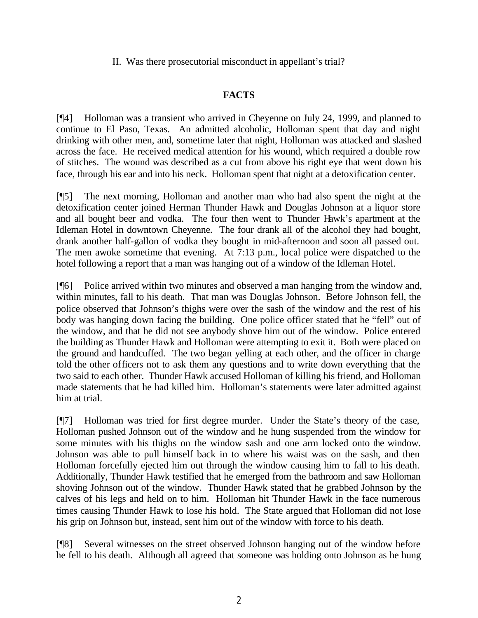II. Was there prosecutorial misconduct in appellant's trial?

## **FACTS**

[¶4] Holloman was a transient who arrived in Cheyenne on July 24, 1999, and planned to continue to El Paso, Texas. An admitted alcoholic, Holloman spent that day and night drinking with other men, and, sometime later that night, Holloman was attacked and slashed across the face. He received medical attention for his wound, which required a double row of stitches. The wound was described as a cut from above his right eye that went down his face, through his ear and into his neck. Holloman spent that night at a detoxification center.

[¶5] The next morning, Holloman and another man who had also spent the night at the detoxification center joined Herman Thunder Hawk and Douglas Johnson at a liquor store and all bought beer and vodka. The four then went to Thunder Hawk's apartment at the Idleman Hotel in downtown Cheyenne. The four drank all of the alcohol they had bought, drank another half-gallon of vodka they bought in mid-afternoon and soon all passed out. The men awoke sometime that evening. At 7:13 p.m., local police were dispatched to the hotel following a report that a man was hanging out of a window of the Idleman Hotel.

[¶6] Police arrived within two minutes and observed a man hanging from the window and, within minutes, fall to his death. That man was Douglas Johnson. Before Johnson fell, the police observed that Johnson's thighs were over the sash of the window and the rest of his body was hanging down facing the building. One police officer stated that he "fell" out of the window, and that he did not see anybody shove him out of the window. Police entered the building as Thunder Hawk and Holloman were attempting to exit it. Both were placed on the ground and handcuffed. The two began yelling at each other, and the officer in charge told the other officers not to ask them any questions and to write down everything that the two said to each other. Thunder Hawk accused Holloman of killing his friend, and Holloman made statements that he had killed him. Holloman's statements were later admitted against him at trial.

[¶7] Holloman was tried for first degree murder. Under the State's theory of the case, Holloman pushed Johnson out of the window and he hung suspended from the window for some minutes with his thighs on the window sash and one arm locked onto the window. Johnson was able to pull himself back in to where his waist was on the sash, and then Holloman forcefully ejected him out through the window causing him to fall to his death. Additionally, Thunder Hawk testified that he emerged from the bathroom and saw Holloman shoving Johnson out of the window. Thunder Hawk stated that he grabbed Johnson by the calves of his legs and held on to him. Holloman hit Thunder Hawk in the face numerous times causing Thunder Hawk to lose his hold. The State argued that Holloman did not lose his grip on Johnson but, instead, sent him out of the window with force to his death.

[¶8] Several witnesses on the street observed Johnson hanging out of the window before he fell to his death. Although all agreed that someone was holding onto Johnson as he hung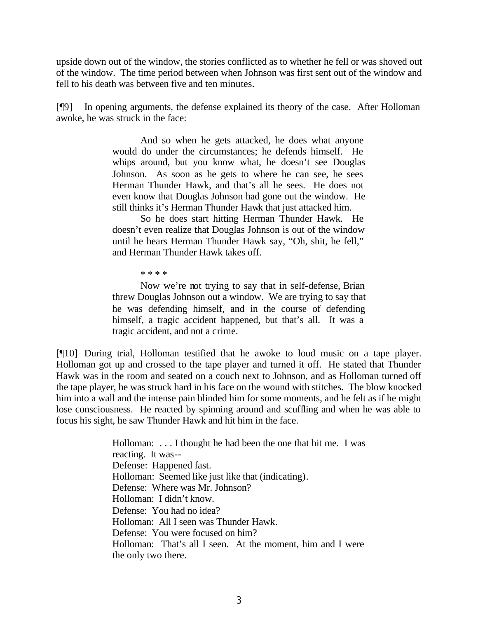upside down out of the window, the stories conflicted as to whether he fell or was shoved out of the window. The time period between when Johnson was first sent out of the window and fell to his death was between five and ten minutes.

[¶9] In opening arguments, the defense explained its theory of the case. After Holloman awoke, he was struck in the face:

> And so when he gets attacked, he does what anyone would do under the circumstances; he defends himself. He whips around, but you know what, he doesn't see Douglas Johnson. As soon as he gets to where he can see, he sees Herman Thunder Hawk, and that's all he sees. He does not even know that Douglas Johnson had gone out the window. He still thinks it's Herman Thunder Hawk that just attacked him.

> So he does start hitting Herman Thunder Hawk. He doesn't even realize that Douglas Johnson is out of the window until he hears Herman Thunder Hawk say, "Oh, shit, he fell," and Herman Thunder Hawk takes off.

> > \* \* \* \*

Now we're not trying to say that in self-defense, Brian threw Douglas Johnson out a window. We are trying to say that he was defending himself, and in the course of defending himself, a tragic accident happened, but that's all. It was a tragic accident, and not a crime.

[¶10] During trial, Holloman testified that he awoke to loud music on a tape player. Holloman got up and crossed to the tape player and turned it off. He stated that Thunder Hawk was in the room and seated on a couch next to Johnson, and as Holloman turned off the tape player, he was struck hard in his face on the wound with stitches. The blow knocked him into a wall and the intense pain blinded him for some moments, and he felt as if he might lose consciousness. He reacted by spinning around and scuffling and when he was able to focus his sight, he saw Thunder Hawk and hit him in the face.

> Holloman: . . . I thought he had been the one that hit me. I was reacting. It was-- Defense: Happened fast. Holloman: Seemed like just like that (indicating). Defense: Where was Mr. Johnson? Holloman: I didn't know. Defense: You had no idea? Holloman: All I seen was Thunder Hawk. Defense: You were focused on him? Holloman: That's all I seen. At the moment, him and I were the only two there.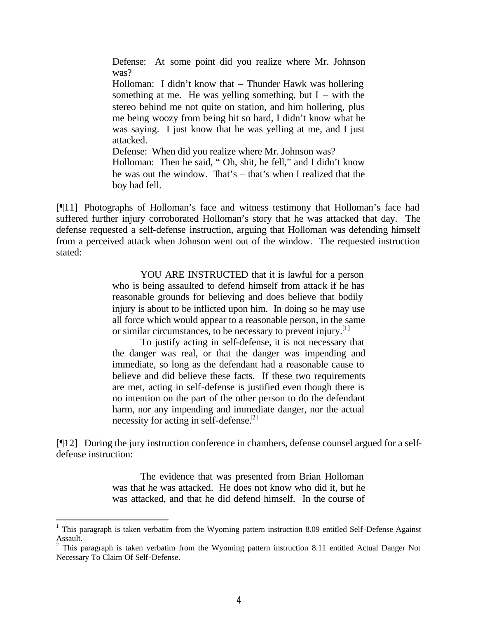Defense: At some point did you realize where Mr. Johnson was?

Holloman: I didn't know that – Thunder Hawk was hollering something at me. He was yelling something, but  $I -$  with the stereo behind me not quite on station, and him hollering, plus me being woozy from being hit so hard, I didn't know what he was saying. I just know that he was yelling at me, and I just attacked.

Defense: When did you realize where Mr. Johnson was? Holloman: Then he said, " Oh, shit, he fell," and I didn't know he was out the window. That's – that's when I realized that the boy had fell.

[¶11] Photographs of Holloman's face and witness testimony that Holloman's face had suffered further injury corroborated Holloman's story that he was attacked that day. The defense requested a self-defense instruction, arguing that Holloman was defending himself from a perceived attack when Johnson went out of the window. The requested instruction stated:

> YOU ARE INSTRUCTED that it is lawful for a person who is being assaulted to defend himself from attack if he has reasonable grounds for believing and does believe that bodily injury is about to be inflicted upon him. In doing so he may use all force which would appear to a reasonable person, in the same or similar circumstances, to be necessary to prevent injury.<sup>[1]</sup>

> To justify acting in self-defense, it is not necessary that the danger was real, or that the danger was impending and immediate, so long as the defendant had a reasonable cause to believe and did believe these facts. If these two requirements are met, acting in self-defense is justified even though there is no intention on the part of the other person to do the defendant harm, nor any impending and immediate danger, nor the actual necessity for acting in self-defense.<sup>[2]</sup>

[¶12] During the jury instruction conference in chambers, defense counsel argued for a selfdefense instruction:

> The evidence that was presented from Brian Holloman was that he was attacked. He does not know who did it, but he was attacked, and that he did defend himself. In the course of

 $1$  This paragraph is taken verbatim from the Wyoming pattern instruction 8.09 entitled Self-Defense Against Assault. 2 This paragraph is taken verbatim from the Wyoming pattern instruction 8.11 entitled Actual Danger Not

Necessary To Claim Of Self-Defense.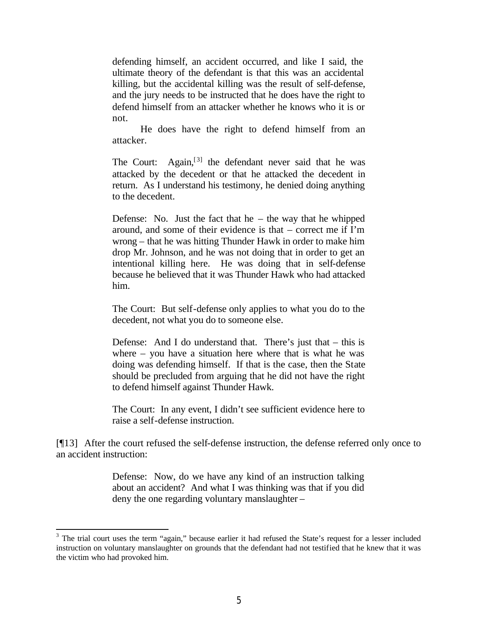defending himself, an accident occurred, and like I said, the ultimate theory of the defendant is that this was an accidental killing, but the accidental killing was the result of self-defense, and the jury needs to be instructed that he does have the right to defend himself from an attacker whether he knows who it is or not.

He does have the right to defend himself from an attacker.

The Court: Again,  $[3]$  the defendant never said that he was attacked by the decedent or that he attacked the decedent in return. As I understand his testimony, he denied doing anything to the decedent.

Defense: No. Just the fact that he – the way that he whipped around, and some of their evidence is that – correct me if I'm wrong – that he was hitting Thunder Hawk in order to make him drop Mr. Johnson, and he was not doing that in order to get an intentional killing here. He was doing that in self-defense because he believed that it was Thunder Hawk who had attacked him.

The Court: But self-defense only applies to what you do to the decedent, not what you do to someone else.

Defense: And I do understand that. There's just that – this is where – you have a situation here where that is what he was doing was defending himself. If that is the case, then the State should be precluded from arguing that he did not have the right to defend himself against Thunder Hawk.

The Court: In any event, I didn't see sufficient evidence here to raise a self-defense instruction.

[¶13] After the court refused the self-defense instruction, the defense referred only once to an accident instruction:

> Defense: Now, do we have any kind of an instruction talking about an accident? And what I was thinking was that if you did deny the one regarding voluntary manslaughter –

 $3$  The trial court uses the term "again," because earlier it had refused the State's request for a lesser included instruction on voluntary manslaughter on grounds that the defendant had not testified that he knew that it was the victim who had provoked him.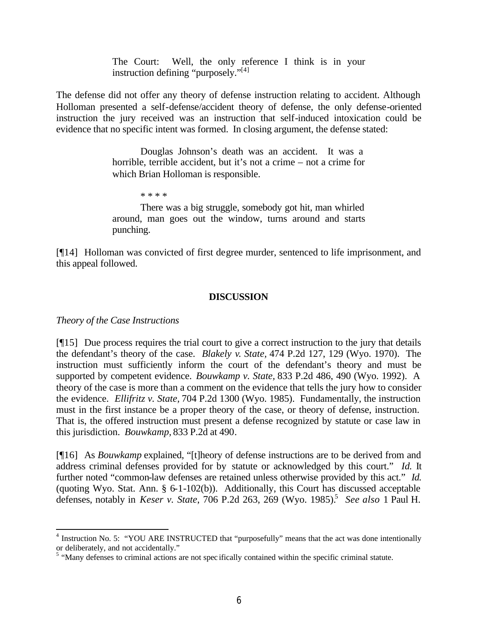The Court: Well, the only reference I think is in your instruction defining "purposely."<sup>[4]</sup>

The defense did not offer any theory of defense instruction relating to accident. Although Holloman presented a self-defense/accident theory of defense, the only defense-oriented instruction the jury received was an instruction that self-induced intoxication could be evidence that no specific intent was formed. In closing argument, the defense stated:

> Douglas Johnson's death was an accident. It was a horrible, terrible accident, but it's not a crime – not a crime for which Brian Holloman is responsible.

> > \* \* \* \*

There was a big struggle, somebody got hit, man whirled around, man goes out the window, turns around and starts punching.

[¶14] Holloman was convicted of first degree murder, sentenced to life imprisonment, and this appeal followed.

#### **DISCUSSION**

*Theory of the Case Instructions*

[¶15] Due process requires the trial court to give a correct instruction to the jury that details the defendant's theory of the case. *Blakely v. State,* 474 P.2d 127, 129 (Wyo. 1970). The instruction must sufficiently inform the court of the defendant's theory and must be supported by competent evidence. *Bouwkamp v. State,* 833 P.2d 486, 490 (Wyo. 1992). A theory of the case is more than a comment on the evidence that tells the jury how to consider the evidence. *Ellifritz v. State,* 704 P.2d 1300 (Wyo. 1985). Fundamentally, the instruction must in the first instance be a proper theory of the case, or theory of defense, instruction. That is, the offered instruction must present a defense recognized by statute or case law in this jurisdiction. *Bouwkamp,* 833 P.2d at 490*.*

[¶16] As *Bouwkamp* explained, "[t]heory of defense instructions are to be derived from and address criminal defenses provided for by statute or acknowledged by this court." *Id.* It further noted "common-law defenses are retained unless otherwise provided by this act." *Id.*  (quoting Wyo. Stat. Ann. § 6-1-102(b)). Additionally, this Court has discussed acceptable defenses, notably in *Keser v. State*, 706 P.2d 263, 269 (Wyo. 1985).<sup>5</sup> *See also* 1 Paul H.

<sup>&</sup>lt;sup>4</sup> Instruction No. 5: "YOU ARE INSTRUCTED that "purposefully" means that the act was done intentionally

or deliberately, and not accidentally."<br>
<sup>5</sup> "Many defenses to criminal actions are not specifically contained within the specific criminal statute.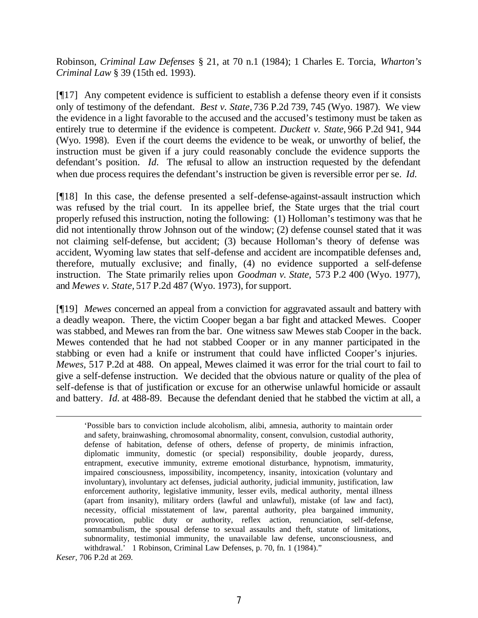Robinson, *Criminal Law Defenses* § 21, at 70 n.1 (1984); 1 Charles E. Torcia, *Wharton's Criminal Law* § 39 (15th ed. 1993).

[¶17] Any competent evidence is sufficient to establish a defense theory even if it consists only of testimony of the defendant. *Best v. State,* 736 P.2d 739, 745 (Wyo. 1987). We view the evidence in a light favorable to the accused and the accused's testimony must be taken as entirely true to determine if the evidence is competent. *Duckett v. State,* 966 P.2d 941, 944 (Wyo. 1998). Even if the court deems the evidence to be weak, or unworthy of belief, the instruction must be given if a jury could reasonably conclude the evidence supports the defendant's position. *Id.* The refusal to allow an instruction requested by the defendant when due process requires the defendant's instruction be given is reversible error per se. *Id.*

[¶18] In this case, the defense presented a self-defense-against-assault instruction which was refused by the trial court. In its appellee brief, the State urges that the trial court properly refused this instruction, noting the following: (1) Holloman's testimony was that he did not intentionally throw Johnson out of the window; (2) defense counsel stated that it was not claiming self-defense, but accident; (3) because Holloman's theory of defense was accident, Wyoming law states that self-defense and accident are incompatible defenses and, therefore, mutually exclusive; and finally, (4) no evidence supported a self-defense instruction. The State primarily relies upon *Goodman v. State,* 573 P.2 400 (Wyo. 1977), and *Mewes v. State,* 517 P.2d 487 (Wyo. 1973), for support.

[¶19] *Mewes* concerned an appeal from a conviction for aggravated assault and battery with a deadly weapon. There, the victim Cooper began a bar fight and attacked Mewes. Cooper was stabbed, and Mewes ran from the bar. One witness saw Mewes stab Cooper in the back. Mewes contended that he had not stabbed Cooper or in any manner participated in the stabbing or even had a knife or instrument that could have inflicted Cooper's injuries. *Mewes,* 517 P.2d at 488. On appeal, Mewes claimed it was error for the trial court to fail to give a self-defense instruction. We decided that the obvious nature or quality of the plea of self-defense is that of justification or excuse for an otherwise unlawful homicide or assault and battery. *Id.* at 488-89. Because the defendant denied that he stabbed the victim at all, a

'Possible bars to conviction include alcoholism, alibi, amnesia, authority to maintain order and safety, brainwashing, chromosomal abnormality, consent, convulsion, custodial authority, defense of habitation, defense of others, defense of property, de minimis infraction, diplomatic immunity, domestic (or special) responsibility, double jeopardy, duress, entrapment, executive immunity, extreme emotional disturbance, hypnotism, immaturity, impaired consciousness, impossibility, incompetency, insanity, intoxication (voluntary and involuntary), involuntary act defenses, judicial authority, judicial immunity, justification, law enforcement authority, legislative immunity, lesser evils, medical authority, mental illness (apart from insanity), military orders (lawful and unlawful), mistake (of law and fact), necessity, official misstatement of law, parental authority, plea bargained immunity, provocation, public duty or authority, reflex action, renunciation, self-defense, somnambulism, the spousal defense to sexual assaults and theft, statute of limitations, subnormality, testimonial immunity, the unavailable law defense, unconsciousness, and withdrawal.' 1 Robinson, Criminal Law Defenses, p. 70, fn. 1 (1984)."

*Keser,* 706 P.2d at 269.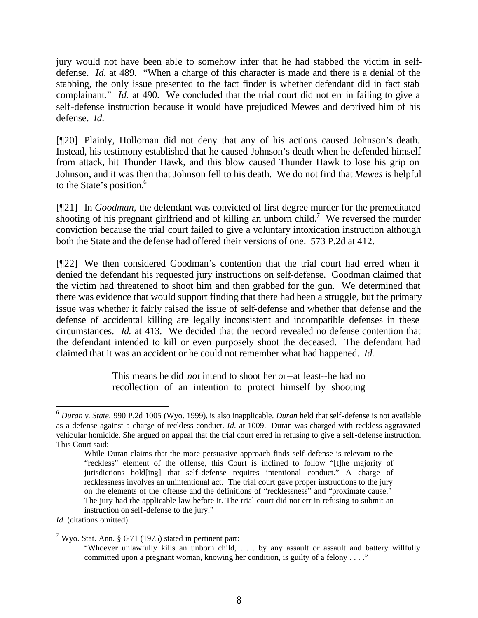jury would not have been able to somehow infer that he had stabbed the victim in selfdefense. *Id.* at 489. "When a charge of this character is made and there is a denial of the stabbing, the only issue presented to the fact finder is whether defendant did in fact stab complainant." *Id.* at 490. We concluded that the trial court did not err in failing to give a self-defense instruction because it would have prejudiced Mewes and deprived him of his defense. *Id.*

[¶20] Plainly, Holloman did not deny that any of his actions caused Johnson's death. Instead, his testimony established that he caused Johnson's death when he defended himself from attack, hit Thunder Hawk, and this blow caused Thunder Hawk to lose his grip on Johnson, and it was then that Johnson fell to his death. We do not find that *Mewes* is helpful to the State's position.<sup>6</sup>

[¶21] In *Goodman,* the defendant was convicted of first degree murder for the premeditated shooting of his pregnant girlfriend and of killing an unborn child.<sup>7</sup> We reversed the murder conviction because the trial court failed to give a voluntary intoxication instruction although both the State and the defense had offered their versions of one. 573 P.2d at 412.

[¶22] We then considered Goodman's contention that the trial court had erred when it denied the defendant his requested jury instructions on self-defense. Goodman claimed that the victim had threatened to shoot him and then grabbed for the gun. We determined that there was evidence that would support finding that there had been a struggle, but the primary issue was whether it fairly raised the issue of self-defense and whether that defense and the defense of accidental killing are legally inconsistent and incompatible defenses in these circumstances. *Id.* at 413. We decided that the record revealed no defense contention that the defendant intended to kill or even purposely shoot the deceased. The defendant had claimed that it was an accident or he could not remember what had happened. *Id.* 

> This means he did *not* intend to shoot her or--at least--he had no recollection of an intention to protect himself by shooting

<sup>6</sup> *Duran v. State,* 990 P.2d 1005 (Wyo. 1999), is also inapplicable. *Duran* held that self-defense is not available as a defense against a charge of reckless conduct. *Id.* at 1009. Duran was charged with reckless aggravated vehicular homicide. She argued on appeal that the trial court erred in refusing to give a self-defense instruction. This Court said:

While Duran claims that the more persuasive approach finds self-defense is relevant to the "reckless" element of the offense, this Court is inclined to follow "[t]he majority of jurisdictions hold[ing] that self-defense requires intentional conduct." A charge of recklessness involves an unintentional act. The trial court gave proper instructions to the jury on the elements of the offense and the definitions of "recklessness" and "proximate cause." The jury had the applicable law before it. The trial court did not err in refusing to submit an instruction on self-defense to the jury."

*Id.* (citations omitted).

<sup>&</sup>lt;sup>7</sup> Wyo. Stat. Ann. § 6-71 (1975) stated in pertinent part:

<sup>&</sup>quot;Whoever unlawfully kills an unborn child, . . . by any assault or assault and battery willfully committed upon a pregnant woman, knowing her condition, is guilty of a felony . . . ."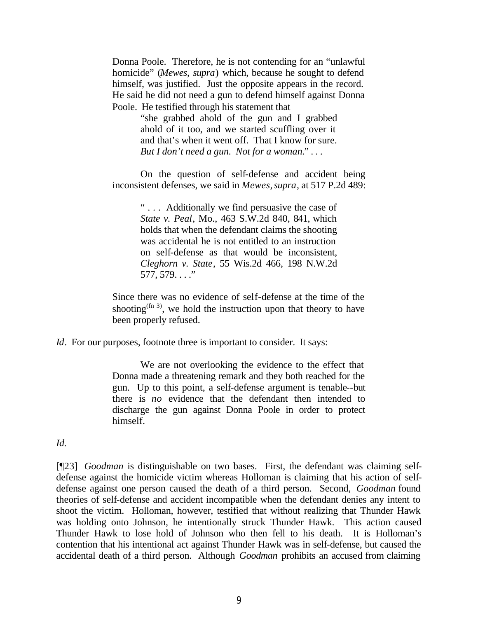Donna Poole. Therefore, he is not contending for an "unlawful homicide" (*Mewes, supra*) which, because he sought to defend himself, was justified. Just the opposite appears in the record. He said he did not need a gun to defend himself against Donna Poole. He testified through his statement that

> "she grabbed ahold of the gun and I grabbed ahold of it too, and we started scuffling over it and that's when it went off. That I know for sure. *But I don't need a gun. Not for a woman.*" . . .

On the question of self-defense and accident being inconsistent defenses, we said in *Mewes*, *supra*, at 517 P.2d 489:

> " . . . Additionally we find persuasive the case of *State v. Peal*, Mo., 463 S.W.2d 840, 841, which holds that when the defendant claims the shooting was accidental he is not entitled to an instruction on self-defense as that would be inconsistent, *Cleghorn v. State*, 55 Wis.2d 466, 198 N.W.2d 577, 579. . . ."

Since there was no evidence of self-defense at the time of the shooting<sup> $(n 3)$ </sup>, we hold the instruction upon that theory to have been properly refused.

*Id.* For our purposes, footnote three is important to consider. It says:

We are not overlooking the evidence to the effect that Donna made a threatening remark and they both reached for the gun. Up to this point, a self-defense argument is tenable--but there is *no* evidence that the defendant then intended to discharge the gun against Donna Poole in order to protect himself.

*Id.* 

[¶23] *Goodman* is distinguishable on two bases. First, the defendant was claiming selfdefense against the homicide victim whereas Holloman is claiming that his action of selfdefense against one person caused the death of a third person. Second, *Goodman* found theories of self-defense and accident incompatible when the defendant denies any intent to shoot the victim. Holloman, however, testified that without realizing that Thunder Hawk was holding onto Johnson, he intentionally struck Thunder Hawk. This action caused Thunder Hawk to lose hold of Johnson who then fell to his death. It is Holloman's contention that his intentional act against Thunder Hawk was in self-defense, but caused the accidental death of a third person. Although *Goodman* prohibits an accused from claiming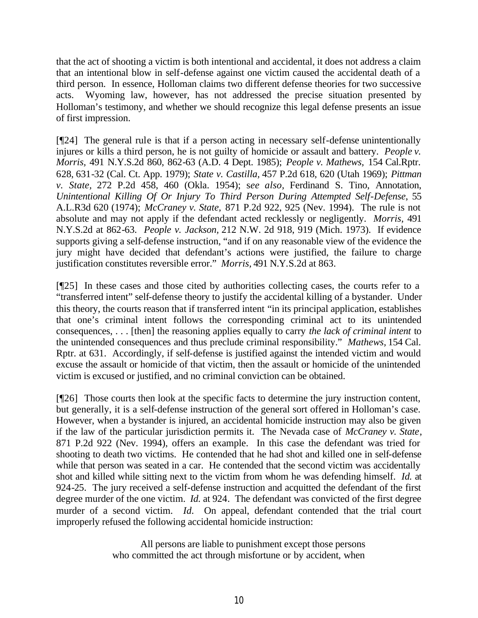that the act of shooting a victim is both intentional and accidental, it does not address a claim that an intentional blow in self-defense against one victim caused the accidental death of a third person. In essence, Holloman claims two different defense theories for two successive acts. Wyoming law, however, has not addressed the precise situation presented by Holloman's testimony, and whether we should recognize this legal defense presents an issue of first impression.

[¶24] The general rule is that if a person acting in necessary self-defense unintentionally injures or kills a third person, he is not guilty of homicide or assault and battery. *People v. Morris,* 491 N.Y.S.2d 860, 862-63 (A.D. 4 Dept. 1985); *People v. Mathews,* 154 Cal.Rptr. 628, 631-32 (Cal. Ct. App. 1979); *State v. Castilla,* 457 P.2d 618, 620 (Utah 1969); *Pittman v. State,* 272 P.2d 458, 460 (Okla. 1954); s*ee also,* Ferdinand S. Tino, Annotation, *Unintentional Killing Of Or Injury To Third Person During Attempted Self-Defense*, 55 A.L.R3d 620 (1974); *McCraney v. State,* 871 P.2d 922, 925 (Nev. 1994). The rule is not absolute and may not apply if the defendant acted recklessly or negligently. *Morris,* 491 N.Y.S.2d at 862-63. *People v. Jackson,* 212 N.W. 2d 918, 919 (Mich. 1973). If evidence supports giving a self-defense instruction, "and if on any reasonable view of the evidence the jury might have decided that defendant's actions were justified, the failure to charge justification constitutes reversible error." *Morris,* 491 N.Y.S.2d at 863.

[¶25] In these cases and those cited by authorities collecting cases, the courts refer to a "transferred intent" self-defense theory to justify the accidental killing of a bystander. Under this theory, the courts reason that if transferred intent "in its principal application, establishes that one's criminal intent follows the corresponding criminal act to its unintended consequences, . . . [then] the reasoning applies equally to carry *the lack of criminal intent* to the unintended consequences and thus preclude criminal responsibility." *Mathews,* 154 Cal. Rptr. at 631. Accordingly, if self-defense is justified against the intended victim and would excuse the assault or homicide of that victim, then the assault or homicide of the unintended victim is excused or justified, and no criminal conviction can be obtained.

[¶26] Those courts then look at the specific facts to determine the jury instruction content, but generally, it is a self-defense instruction of the general sort offered in Holloman's case. However, when a bystander is injured, an accidental homicide instruction may also be given if the law of the particular jurisdiction permits it. The Nevada case of *McCraney v. State*, 871 P.2d 922 (Nev. 1994), offers an example. In this case the defendant was tried for shooting to death two victims. He contended that he had shot and killed one in self-defense while that person was seated in a car. He contended that the second victim was accidentally shot and killed while sitting next to the victim from whom he was defending himself. *Id.* at 924-25*.* The jury received a self-defense instruction and acquitted the defendant of the first degree murder of the one victim. *Id.* at 924. The defendant was convicted of the first degree murder of a second victim. *Id.* On appeal, defendant contended that the trial court improperly refused the following accidental homicide instruction:

> All persons are liable to punishment except those persons who committed the act through misfortune or by accident, when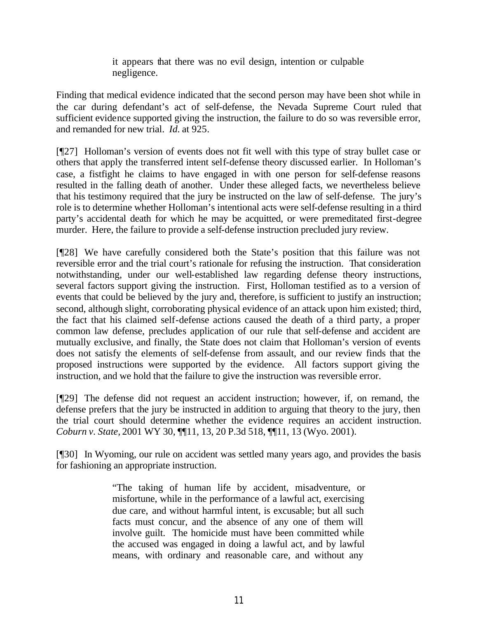it appears that there was no evil design, intention or culpable negligence.

Finding that medical evidence indicated that the second person may have been shot while in the car during defendant's act of self-defense, the Nevada Supreme Court ruled that sufficient evidence supported giving the instruction, the failure to do so was reversible error, and remanded for new trial. *Id.* at 925.

[¶27] Holloman's version of events does not fit well with this type of stray bullet case or others that apply the transferred intent self-defense theory discussed earlier. In Holloman's case, a fistfight he claims to have engaged in with one person for self-defense reasons resulted in the falling death of another. Under these alleged facts, we nevertheless believe that his testimony required that the jury be instructed on the law of self-defense. The jury's role is to determine whether Holloman's intentional acts were self-defense resulting in a third party's accidental death for which he may be acquitted, or were premeditated first-degree murder. Here, the failure to provide a self-defense instruction precluded jury review.

[¶28] We have carefully considered both the State's position that this failure was not reversible error and the trial court's rationale for refusing the instruction. That consideration notwithstanding, under our well-established law regarding defense theory instructions, several factors support giving the instruction. First, Holloman testified as to a version of events that could be believed by the jury and, therefore, is sufficient to justify an instruction; second, although slight, corroborating physical evidence of an attack upon him existed; third, the fact that his claimed self-defense actions caused the death of a third party, a proper common law defense, precludes application of our rule that self-defense and accident are mutually exclusive, and finally, the State does not claim that Holloman's version of events does not satisfy the elements of self-defense from assault, and our review finds that the proposed instructions were supported by the evidence. All factors support giving the instruction, and we hold that the failure to give the instruction was reversible error.

[¶29] The defense did not request an accident instruction; however, if, on remand, the defense prefers that the jury be instructed in addition to arguing that theory to the jury, then the trial court should determine whether the evidence requires an accident instruction. *Coburn v. State,* 2001 WY 30, ¶¶11, 13, 20 P.3d 518, ¶¶11, 13 (Wyo. 2001).

[¶30] In Wyoming, our rule on accident was settled many years ago, and provides the basis for fashioning an appropriate instruction.

> "The taking of human life by accident, misadventure, or misfortune, while in the performance of a lawful act, exercising due care, and without harmful intent, is excusable; but all such facts must concur, and the absence of any one of them will involve guilt. The homicide must have been committed while the accused was engaged in doing a lawful act, and by lawful means, with ordinary and reasonable care, and without any